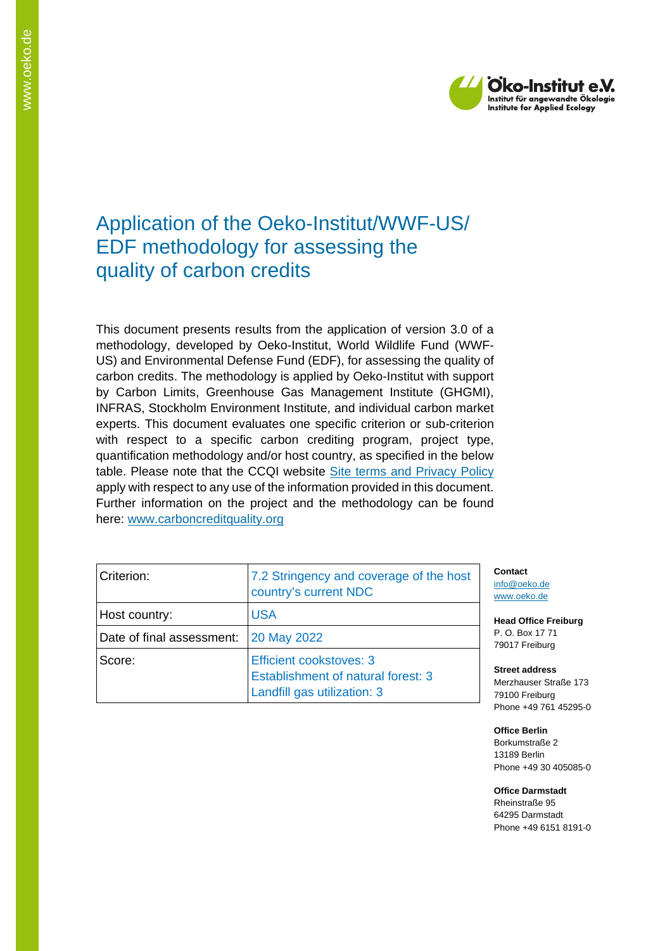

## Application of the Oeko-Institut/WWF-US/ EDF methodology for assessing the quality of carbon credits

This document presents results from the application of version 3.0 of a methodology, developed by Oeko-Institut, World Wildlife Fund (WWF-US) and Environmental Defense Fund (EDF), for assessing the quality of carbon credits. The methodology is applied by Oeko-Institut with support by Carbon Limits, Greenhouse Gas Management Institute (GHGMI), INFRAS, Stockholm Environment Institute, and individual carbon market experts. This document evaluates one specific criterion or sub-criterion with respect to a specific carbon crediting program, project type, quantification methodology and/or host country, as specified in the below table. Please note that the CCQI website [Site terms and Privacy Policy](https://carboncreditquality.org/terms.html) apply with respect to any use of the information provided in this document. Further information on the project and the methodology can be found here: [www.carboncreditquality.org](http://www.carboncreditquality.org/)

| Criterion:                | 7.2 Stringency and coverage of the host<br>country's current NDC                                    |
|---------------------------|-----------------------------------------------------------------------------------------------------|
| Host country:             | <b>USA</b>                                                                                          |
| Date of final assessment: | <b>20 May 2022</b>                                                                                  |
| Score:                    | <b>Efficient cookstoves: 3</b><br>Establishment of natural forest: 3<br>Landfill gas utilization: 3 |

**Contact** [info@oeko.de](mailto:info@oeko.de) [www.oeko.de](http://www.oeko.de/)

**Head Office Freiburg** P. O. Box 17 71 79017 Freiburg

**Street address** Merzhauser Straße 173 79100 Freiburg Phone +49 761 45295-0

**Office Berlin** Borkumstraße 2 13189 Berlin Phone +49 30 405085-0

**Office Darmstadt** Rheinstraße 95 64295 Darmstadt Phone +49 6151 8191-0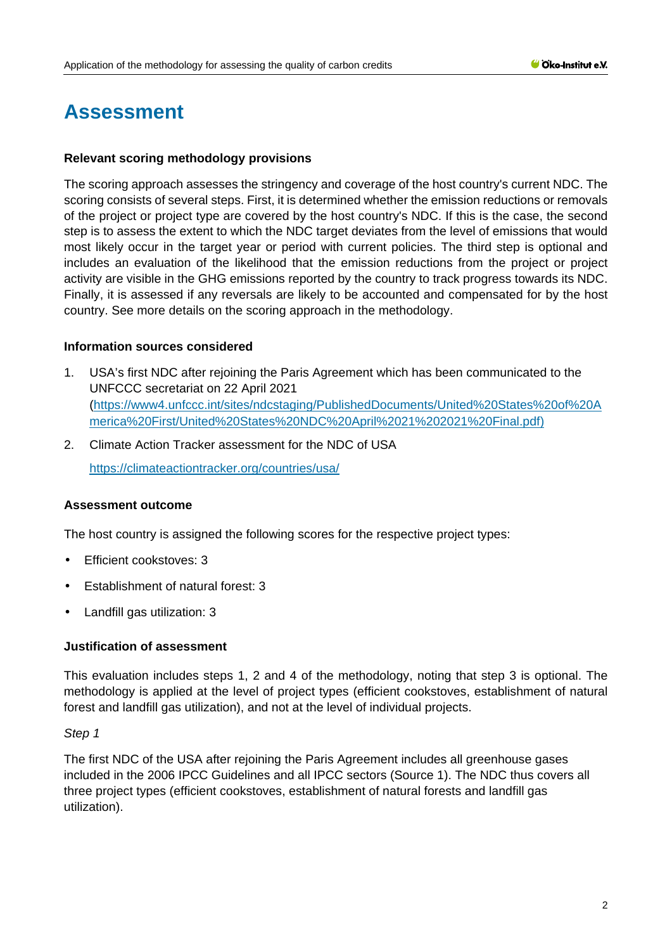# **Assessment**

#### **Relevant scoring methodology provisions**

The scoring approach assesses the stringency and coverage of the host country's current NDC. The scoring consists of several steps. First, it is determined whether the emission reductions or removals of the project or project type are covered by the host country's NDC. If this is the case, the second step is to assess the extent to which the NDC target deviates from the level of emissions that would most likely occur in the target year or period with current policies. The third step is optional and includes an evaluation of the likelihood that the emission reductions from the project or project activity are visible in the GHG emissions reported by the country to track progress towards its NDC. Finally, it is assessed if any reversals are likely to be accounted and compensated for by the host country. See more details on the scoring approach in the methodology.

#### **Information sources considered**

- 1. USA's first NDC after rejoining the Paris Agreement which has been communicated to the UNFCCC secretariat on 22 April 2021 [\(https://www4.unfccc.int/sites/ndcstaging/PublishedDocuments/United%20States%20of%20A](https://www4.unfccc.int/sites/ndcstaging/PublishedDocuments/United%20States%20of%20America%20First/United%20States%20NDC%20April%2021%202021%20Final.pdf) [merica%20First/United%20States%20NDC%20April%2021%202021%20Final.pdf\)](https://www4.unfccc.int/sites/ndcstaging/PublishedDocuments/United%20States%20of%20America%20First/United%20States%20NDC%20April%2021%202021%20Final.pdf)
- 2. Climate Action Tracker assessment for the NDC of USA

<https://climateactiontracker.org/countries/usa/>

#### **Assessment outcome**

The host country is assigned the following scores for the respective project types:

- Efficient cookstoves: 3
- Establishment of natural forest: 3
- Landfill gas utilization: 3

#### **Justification of assessment**

This evaluation includes steps 1, 2 and 4 of the methodology, noting that step 3 is optional. The methodology is applied at the level of project types (efficient cookstoves, establishment of natural forest and landfill gas utilization), and not at the level of individual projects.

#### *Step 1*

The first NDC of the USA after rejoining the Paris Agreement includes all greenhouse gases included in the 2006 IPCC Guidelines and all IPCC sectors (Source 1). The NDC thus covers all three project types (efficient cookstoves, establishment of natural forests and landfill gas utilization).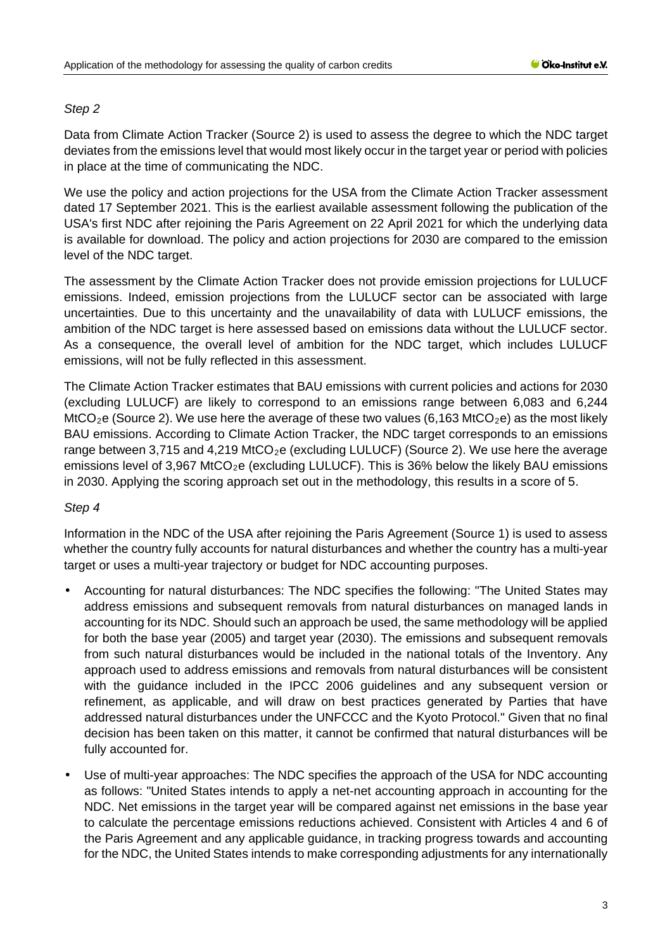### *Step 2*

Data from Climate Action Tracker (Source 2) is used to assess the degree to which the NDC target deviates from the emissions level that would most likely occur in the target year or period with policies in place at the time of communicating the NDC.

We use the policy and action projections for the USA from the Climate Action Tracker assessment dated 17 September 2021. This is the earliest available assessment following the publication of the USA's first NDC after rejoining the Paris Agreement on 22 April 2021 for which the underlying data is available for download. The policy and action projections for 2030 are compared to the emission level of the NDC target.

The assessment by the Climate Action Tracker does not provide emission projections for LULUCF emissions. Indeed, emission projections from the LULUCF sector can be associated with large uncertainties. Due to this uncertainty and the unavailability of data with LULUCF emissions, the ambition of the NDC target is here assessed based on emissions data without the LULUCF sector. As a consequence, the overall level of ambition for the NDC target, which includes LULUCF emissions, will not be fully reflected in this assessment.

The Climate Action Tracker estimates that BAU emissions with current policies and actions for 2030 (excluding LULUCF) are likely to correspond to an emissions range between 6,083 and 6,244 MtCO<sub>2</sub>e (Source 2). We use here the average of these two values (6,163 MtCO<sub>2</sub>e) as the most likely BAU emissions. According to Climate Action Tracker, the NDC target corresponds to an emissions range between 3,715 and 4,219 MtCO<sub>2</sub>e (excluding LULUCF) (Source 2). We use here the average emissions level of 3,967 MtCO<sub>2</sub>e (excluding LULUCF). This is 36% below the likely BAU emissions in 2030. Applying the scoring approach set out in the methodology, this results in a score of 5.

#### *Step 4*

Information in the NDC of the USA after rejoining the Paris Agreement (Source 1) is used to assess whether the country fully accounts for natural disturbances and whether the country has a multi-year target or uses a multi-year trajectory or budget for NDC accounting purposes.

- Accounting for natural disturbances: The NDC specifies the following: "The United States may address emissions and subsequent removals from natural disturbances on managed lands in accounting for its NDC. Should such an approach be used, the same methodology will be applied for both the base year (2005) and target year (2030). The emissions and subsequent removals from such natural disturbances would be included in the national totals of the Inventory. Any approach used to address emissions and removals from natural disturbances will be consistent with the guidance included in the IPCC 2006 guidelines and any subsequent version or refinement, as applicable, and will draw on best practices generated by Parties that have addressed natural disturbances under the UNFCCC and the Kyoto Protocol." Given that no final decision has been taken on this matter, it cannot be confirmed that natural disturbances will be fully accounted for.
- Use of multi-year approaches: The NDC specifies the approach of the USA for NDC accounting as follows: "United States intends to apply a net-net accounting approach in accounting for the NDC. Net emissions in the target year will be compared against net emissions in the base year to calculate the percentage emissions reductions achieved. Consistent with Articles 4 and 6 of the Paris Agreement and any applicable guidance, in tracking progress towards and accounting for the NDC, the United States intends to make corresponding adjustments for any internationally